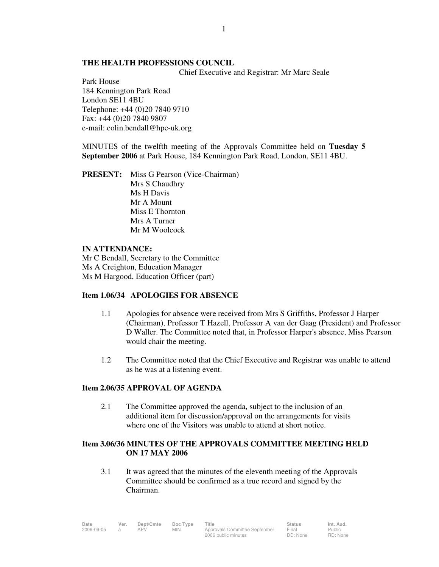### **THE HEALTH PROFESSIONS COUNCIL**

Chief Executive and Registrar: Mr Marc Seale

Park House 184 Kennington Park Road London SE11 4BU Telephone: +44 (0)20 7840 9710 Fax: +44 (0)20 7840 9807 e-mail: colin.bendall@hpc-uk.org

MINUTES of the twelfth meeting of the Approvals Committee held on **Tuesday 5 September 2006** at Park House, 184 Kennington Park Road, London, SE11 4BU.

**PRESENT:** Miss G Pearson (Vice-Chairman) Mrs S Chaudhry Ms H Davis Mr A Mount Miss E Thornton Mrs A Turner Mr M Woolcock

### **IN ATTENDANCE:**

Mr C Bendall, Secretary to the Committee Ms A Creighton, Education Manager Ms M Hargood, Education Officer (part)

## **Item 1.06/34 APOLOGIES FOR ABSENCE**

- 1.1 Apologies for absence were received from Mrs S Griffiths, Professor J Harper (Chairman), Professor T Hazell, Professor A van der Gaag (President) and Professor D Waller. The Committee noted that, in Professor Harper's absence, Miss Pearson would chair the meeting.
- 1.2 The Committee noted that the Chief Executive and Registrar was unable to attend as he was at a listening event.

## **Item 2.06/35 APPROVAL OF AGENDA**

 2.1 The Committee approved the agenda, subject to the inclusion of an additional item for discussion/approval on the arrangements for visits where one of the Visitors was unable to attend at short notice.

## **Item 3.06/36 MINUTES OF THE APPROVALS COMMITTEE MEETING HELD ON 17 MAY 2006**

 3.1 It was agreed that the minutes of the eleventh meeting of the Approvals Committee should be confirmed as a true record and signed by the Chairman.

| Date       | Ver. | Dept/Cmte | Doc Type | Title                         | <b>Status</b> | Int. Aud. |
|------------|------|-----------|----------|-------------------------------|---------------|-----------|
| 2006-09-05 |      |           | MIN      | Approvals Committee September | Final         | Public    |
|            |      |           |          | 2006 public minutes           | DD: None      | RD: None  |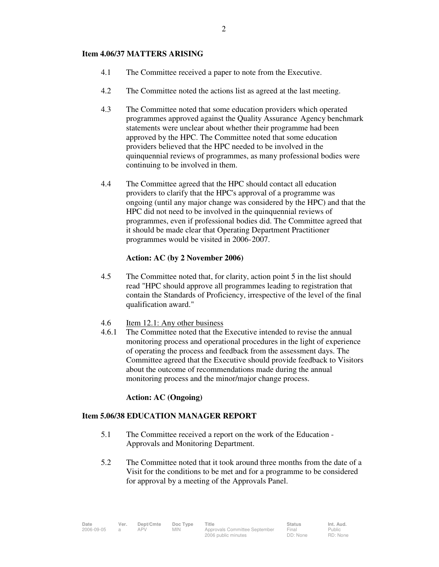#### **Item 4.06/37 MATTERS ARISING**

- 4.1 The Committee received a paper to note from the Executive.
- 4.2 The Committee noted the actions list as agreed at the last meeting.
- 4.3 The Committee noted that some education providers which operated programmes approved against the Quality Assurance Agency benchmark statements were unclear about whether their programme had been approved by the HPC. The Committee noted that some education providers believed that the HPC needed to be involved in the quinquennial reviews of programmes, as many professional bodies were continuing to be involved in them.
- 4.4 The Committee agreed that the HPC should contact all education providers to clarify that the HPC's approval of a programme was ongoing (until any major change was considered by the HPC) and that the HPC did not need to be involved in the quinquennial reviews of programmes, even if professional bodies did. The Committee agreed that it should be made clear that Operating Department Practitioner programmes would be visited in 2006- 2007.

## **Action: AC (by 2 November 2006)**

- 4.5 The Committee noted that, for clarity, action point 5 in the list should read "HPC should approve all programmes leading to registration that contain the Standards of Proficiency, irrespective of the level of the final qualification award."
- 4.6 Item 12.1: Any other business
- 4.6.1 The Committee noted that the Executive intended to revise the annual monitoring process and operational procedures in the light of experience of operating the process and feedback from the assessment days. The Committee agreed that the Executive should provide feedback to Visitors about the outcome of recommendations made during the annual monitoring process and the minor/major change process.

#### **Action: AC (Ongoing)**

#### **Item 5.06/38 EDUCATION MANAGER REPORT**

- 5.1 The Committee received a report on the work of the Education Approvals and Monitoring Department.
- 5.2 The Committee noted that it took around three months from the date of a Visit for the conditions to be met and for a programme to be considered for approval by a meeting of the Approvals Panel.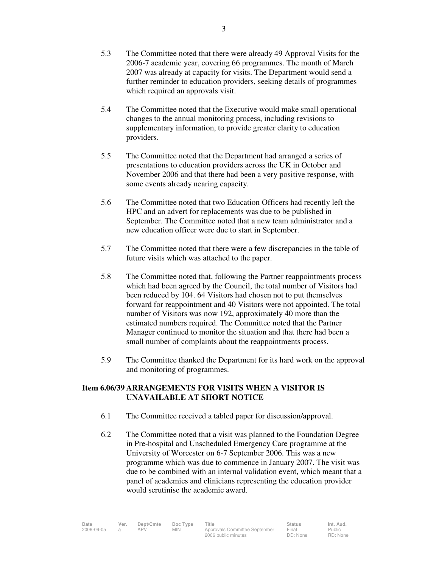- 5.3 The Committee noted that there were already 49 Approval Visits for the 2006-7 academic year, covering 66 programmes. The month of March 2007 was already at capacity for visits. The Department would send a further reminder to education providers, seeking details of programmes which required an approvals visit.
- 5.4 The Committee noted that the Executive would make small operational changes to the annual monitoring process, including revisions to supplementary information, to provide greater clarity to education providers.
- 5.5 The Committee noted that the Department had arranged a series of presentations to education providers across the UK in October and November 2006 and that there had been a very positive response, with some events already nearing capacity.
- 5.6 The Committee noted that two Education Officers had recently left the HPC and an advert for replacements was due to be published in September. The Committee noted that a new team administrator and a new education officer were due to start in September.
- 5.7 The Committee noted that there were a few discrepancies in the table of future visits which was attached to the paper.
- 5.8 The Committee noted that, following the Partner reappointments process which had been agreed by the Council, the total number of Visitors had been reduced by 104. 64 Visitors had chosen not to put themselves forward for reappointment and 40 Visitors were not appointed. The total number of Visitors was now 192, approximately 40 more than the estimated numbers required. The Committee noted that the Partner Manager continued to monitor the situation and that there had been a small number of complaints about the reappointments process.
- 5.9 The Committee thanked the Department for its hard work on the approval and monitoring of programmes.

## **Item 6.06/39 ARRANGEMENTS FOR VISITS WHEN A VISITOR IS UNAVAILABLE AT SHORT NOTICE**

- 6.1 The Committee received a tabled paper for discussion/approval.
- 6.2 The Committee noted that a visit was planned to the Foundation Degree in Pre-hospital and Unscheduled Emergency Care programme at the University of Worcester on 6-7 September 2006. This was a new programme which was due to commence in January 2007. The visit was due to be combined with an internal validation event, which meant that a panel of academics and clinicians representing the education provider would scrutinise the academic award.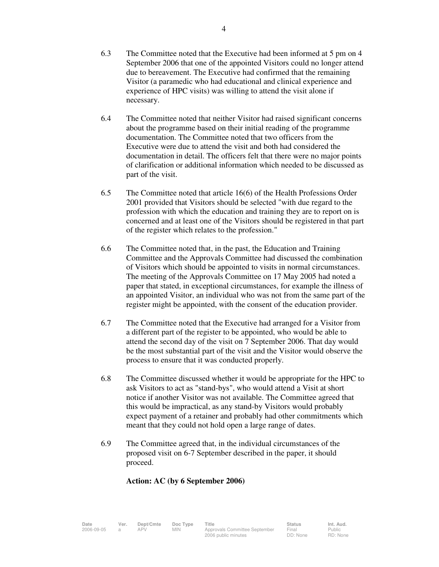- 6.3 The Committee noted that the Executive had been informed at 5 pm on 4 September 2006 that one of the appointed Visitors could no longer attend due to bereavement. The Executive had confirmed that the remaining Visitor (a paramedic who had educational and clinical experience and experience of HPC visits) was willing to attend the visit alone if necessary.
- 6.4 The Committee noted that neither Visitor had raised significant concerns about the programme based on their initial reading of the programme documentation. The Committee noted that two officers from the Executive were due to attend the visit and both had considered the documentation in detail. The officers felt that there were no major points of clarification or additional information which needed to be discussed as part of the visit.
- 6.5 The Committee noted that article 16(6) of the Health Professions Order 2001 provided that Visitors should be selected "with due regard to the profession with which the education and training they are to report on is concerned and at least one of the Visitors should be registered in that part of the register which relates to the profession."
- 6.6 The Committee noted that, in the past, the Education and Training Committee and the Approvals Committee had discussed the combination of Visitors which should be appointed to visits in normal circumstances. The meeting of the Approvals Committee on 17 May 2005 had noted a paper that stated, in exceptional circumstances, for example the illness of an appointed Visitor, an individual who was not from the same part of the register might be appointed, with the consent of the education provider.
- 6.7 The Committee noted that the Executive had arranged for a Visitor from a different part of the register to be appointed, who would be able to attend the second day of the visit on 7 September 2006. That day would be the most substantial part of the visit and the Visitor would observe the process to ensure that it was conducted properly.
- 6.8 The Committee discussed whether it would be appropriate for the HPC to ask Visitors to act as "stand-bys", who would attend a Visit at short notice if another Visitor was not available. The Committee agreed that this would be impractical, as any stand-by Visitors would probably expect payment of a retainer and probably had other commitments which meant that they could not hold open a large range of dates.
- 6.9 The Committee agreed that, in the individual circumstances of the proposed visit on 6-7 September described in the paper, it should proceed.

## **Action: AC (by 6 September 2006)**

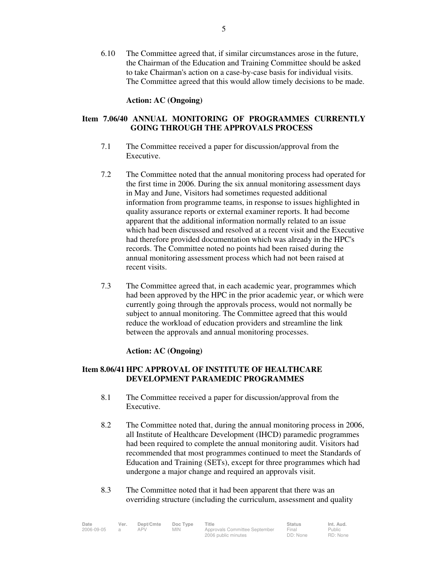6.10 The Committee agreed that, if similar circumstances arose in the future, the Chairman of the Education and Training Committee should be asked to take Chairman's action on a case-by-case basis for individual visits. The Committee agreed that this would allow timely decisions to be made.

#### **Action: AC (Ongoing)**

# **Item 7.06/40 ANNUAL MONITORING OF PROGRAMMES CURRENTLY GOING THROUGH THE APPROVALS PROCESS**

- 7.1 The Committee received a paper for discussion/approval from the Executive.
- 7.2 The Committee noted that the annual monitoring process had operated for the first time in 2006. During the six annual monitoring assessment days in May and June, Visitors had sometimes requested additional information from programme teams, in response to issues highlighted in quality assurance reports or external examiner reports. It had become apparent that the additional information normally related to an issue which had been discussed and resolved at a recent visit and the Executive had therefore provided documentation which was already in the HPC's records. The Committee noted no points had been raised during the annual monitoring assessment process which had not been raised at recent visits.
- 7.3 The Committee agreed that, in each academic year, programmes which had been approved by the HPC in the prior academic year, or which were currently going through the approvals process, would not normally be subject to annual monitoring. The Committee agreed that this would reduce the workload of education providers and streamline the link between the approvals and annual monitoring processes.

## **Action: AC (Ongoing)**

## **Item 8.06/41 HPC APPROVAL OF INSTITUTE OF HEALTHCARE DEVELOPMENT PARAMEDIC PROGRAMMES**

- 8.1 The Committee received a paper for discussion/approval from the Executive.
- 8.2 The Committee noted that, during the annual monitoring process in 2006, all Institute of Healthcare Development (IHCD) paramedic programmes had been required to complete the annual monitoring audit. Visitors had recommended that most programmes continued to meet the Standards of Education and Training (SETs), except for three programmes which had undergone a major change and required an approvals visit.
- 8.3 The Committee noted that it had been apparent that there was an overriding structure (including the curriculum, assessment and quality

| Date       | Ver. | Dept/Cmte | Doc Type | ⊤itle                         | <b>Status</b> | Int. Aud. |
|------------|------|-----------|----------|-------------------------------|---------------|-----------|
| 2006-09-05 |      | APV       | MIN.     | Approvals Committee September | Final         | Public    |
|            |      |           |          | 2006 public minutes           | DD: None      | RD: None  |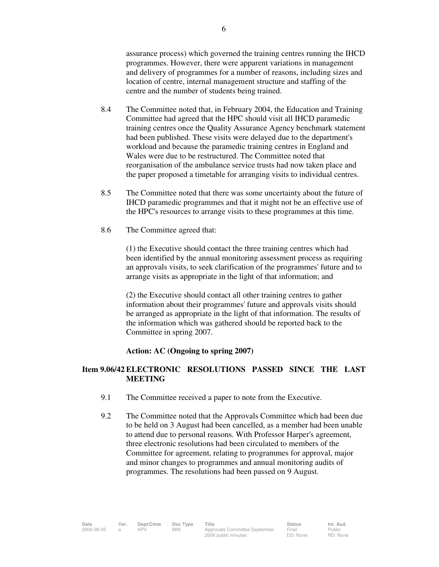assurance process) which governed the training centres running the IHCD programmes. However, there were apparent variations in management and delivery of programmes for a number of reasons, including sizes and location of centre, internal management structure and staffing of the centre and the number of students being trained.

- 8.4 The Committee noted that, in February 2004, the Education and Training Committee had agreed that the HPC should visit all IHCD paramedic training centres once the Quality Assurance Agency benchmark statement had been published. These visits were delayed due to the department's workload and because the paramedic training centres in England and Wales were due to be restructured. The Committee noted that reorganisation of the ambulance service trusts had now taken place and the paper proposed a timetable for arranging visits to individual centres.
- 8.5 The Committee noted that there was some uncertainty about the future of IHCD paramedic programmes and that it might not be an effective use of the HPC's resources to arrange visits to these programmes at this time.
- 8.6 The Committee agreed that:

 (1) the Executive should contact the three training centres which had been identified by the annual monitoring assessment process as requiring an approvals visits, to seek clarification of the programmes' future and to arrange visits as appropriate in the light of that information; and

 (2) the Executive should contact all other training centres to gather information about their programmes' future and approvals visits should be arranged as appropriate in the light of that information. The results of the information which was gathered should be reported back to the Committee in spring 2007.

## **Action: AC (Ongoing to spring 2007)**

## **Item 9.06/42 ELECTRONIC RESOLUTIONS PASSED SINCE THE LAST MEETING**

- 9.1 The Committee received a paper to note from the Executive.
- 9.2 The Committee noted that the Approvals Committee which had been due to be held on 3 August had been cancelled, as a member had been unable to attend due to personal reasons. With Professor Harper's agreement, three electronic resolutions had been circulated to members of the Committee for agreement, relating to programmes for approval, major and minor changes to programmes and annual monitoring audits of programmes. The resolutions had been passed on 9 August.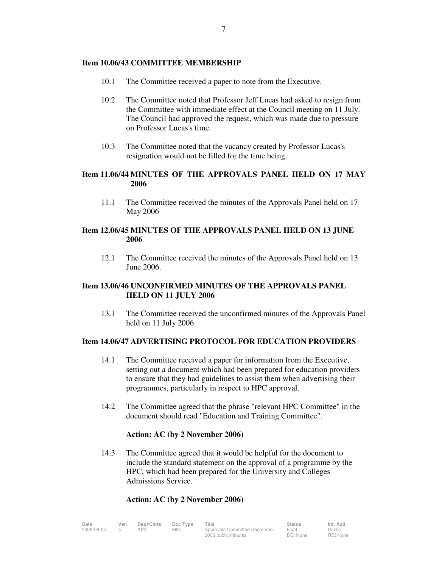#### **Item 10.06/43 COMMITTEE MEMBERSHIP**

- 10.1 The Committee received a paper to note from the Executive.
- 10.2 The Committee noted that Professor Jeff Lucas had asked to resign from the Committee with immediate effect at the Council meeting on 11 July. The Council had approved the request, which was made due to pressure on Professor Lucas's time.
- 10.3 The Committee noted that the vacancy created by Professor Lucas's resignation would not be filled for the time being.

## **Item 11.06/44 MINUTES OF THE APPROVALS PANEL HELD ON 17 MAY 2006**

 11.1 The Committee received the minutes of the Approvals Panel held on 17 May 2006

## **Item 12.06/45 MINUTES OF THE APPROVALS PANEL HELD ON 13 JUNE 2006**

12.1 The Committee received the minutes of the Approvals Panel held on 13 June 2006.

## **Item 13.06/46 UNCONFIRMED MINUTES OF THE APPROVALS PANEL HELD ON 11 JULY 2006**

 13.1 The Committee received the unconfirmed minutes of the Approvals Panel held on 11 July 2006.

## **Item 14.06/47 ADVERTISING PROTOCOL FOR EDUCATION PROVIDERS**

- 14.1 The Committee received a paper for information from the Executive, setting out a document which had been prepared for education providers to ensure that they had guidelines to assist them when advertising their programmes, particularly in respect to HPC approval.
- 14.2 The Committee agreed that the phrase "relevant HPC Committee" in the document should read "Education and Training Committee".

## **Action: AC (by 2 November 2006)**

 14.3 The Committee agreed that it would be helpful for the document to include the standard statement on the approval of a programme by the HPC, which had been prepared for the University and Colleges Admissions Service.

## **Action: AC (by 2 November 2006)**

| Date       | Ver. | Dept/Cmte | Doc Type | Title                                                | <b>Status</b>     | Int. Aud.                 |
|------------|------|-----------|----------|------------------------------------------------------|-------------------|---------------------------|
| 2006-09-05 |      |           | MIN.     | Approvals Committee September<br>2006 public minutes | Final<br>DD: None | <b>Public</b><br>RD: None |
|            |      |           |          |                                                      |                   |                           |